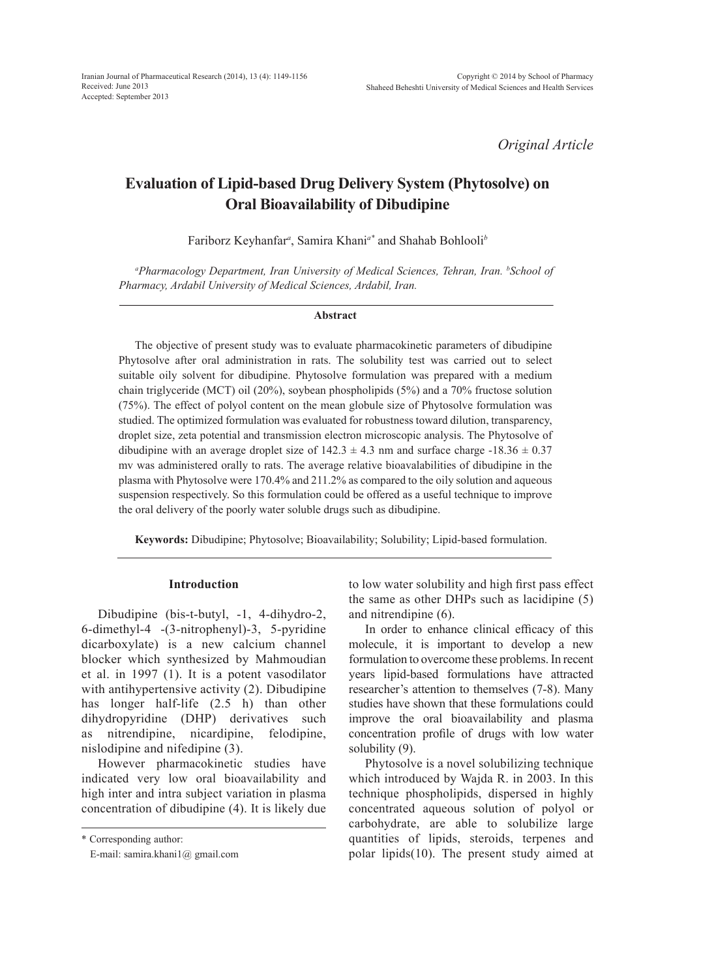*Original Article*

# **Evaluation of Lipid-based Drug Delivery System (Phytosolve) on Oral Bioavailability of Dibudipine**

Fariborz Keyhanfar*<sup>a</sup>* , Samira Khani*a\** and Shahab Bohlooli*<sup>b</sup>*

*a Pharmacology Department, Iran University of Medical Sciences, Tehran, Iran. b School of Pharmacy, Ardabil University of Medical Sciences, Ardabil, Iran.* 

#### **Abstract**

The objective of present study was to evaluate pharmacokinetic parameters of dibudipine Phytosolve after oral administration in rats. The solubility test was carried out to select suitable oily solvent for dibudipine. Phytosolve formulation was prepared with a medium chain triglyceride (MCT) oil (20%), soybean phospholipids (5%) and a 70% fructose solution (75%). The effect of polyol content on the mean globule size of Phytosolve formulation was studied. The optimized formulation was evaluated for robustness toward dilution, transparency, droplet size, zeta potential and transmission electron microscopic analysis. The Phytosolve of dibudipine with an average droplet size of  $142.3 \pm 4.3$  nm and surface charge  $-18.36 \pm 0.37$ mv was administered orally to rats. The average relative bioavalabilities of dibudipine in the plasma with Phytosolve were 170.4% and 211.2% as compared to the oily solution and aqueous suspension respectively. So this formulation could be offered as a useful technique to improve the oral delivery of the poorly water soluble drugs such as dibudipine.

**Keywords:** Dibudipine; Phytosolve; Bioavailability; Solubility; Lipid-based formulation.

# **Introduction**

Dibudipine (bis-t-butyl, -1, 4-dihydro-2, 6-dimethyl-4 -(3-nitrophenyl)-3, 5-pyridine dicarboxylate) is a new calcium channel blocker which synthesized by Mahmoudian et al. in 1997 (1). It is a potent vasodilator with antihypertensive activity (2). Dibudipine has longer half-life (2.5 h) than other dihydropyridine (DHP) derivatives such as nitrendipine, nicardipine, felodipine, nislodipine and nifedipine (3).

However pharmacokinetic studies have indicated very low oral bioavailability and high inter and intra subject variation in plasma concentration of dibudipine (4). It is likely due

\* Corresponding author:

to low water solubility and high first pass effect the same as other DHPs such as lacidipine (5) and nitrendipine (6).

In order to enhance clinical efficacy of this molecule, it is important to develop a new formulation to overcome these problems. In recent years lipid-based formulations have attracted researcher's attention to themselves (7-8). Many studies have shown that these formulations could improve the oral bioavailability and plasma concentration profile of drugs with low water solubility (9).

Phytosolve is a novel solubilizing technique which introduced by Wajda R. in 2003. In this technique phospholipids, dispersed in highly concentrated aqueous solution of polyol or carbohydrate, are able to solubilize large quantities of lipids, steroids, terpenes and polar lipids(10). The present study aimed at

E-mail: samira.khani1@ gmail.com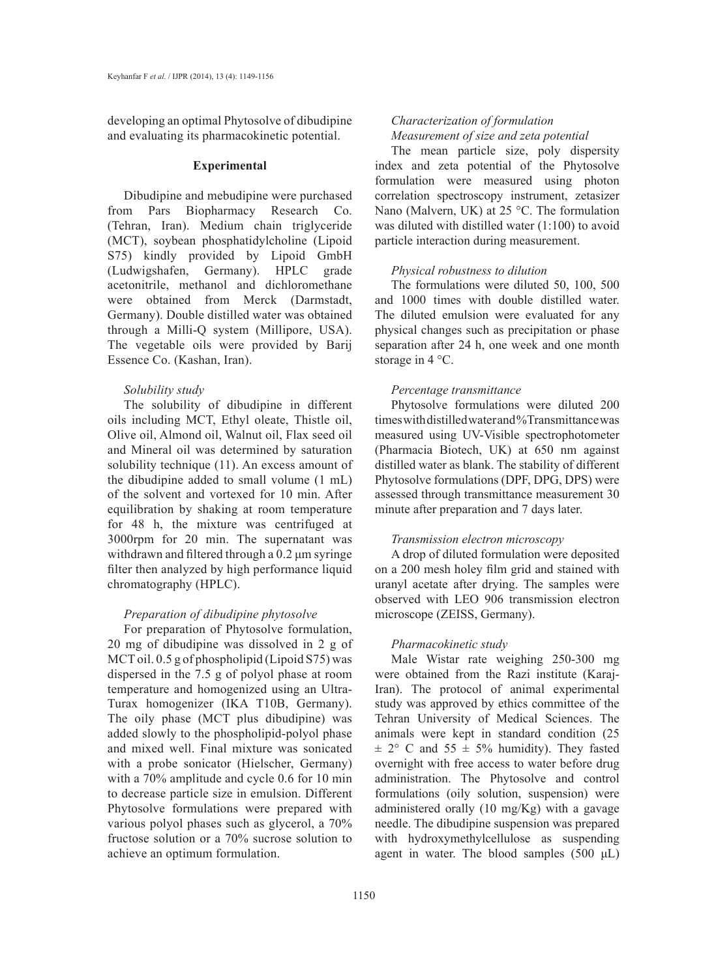developing an optimal Phytosolve of dibudipine and evaluating its pharmacokinetic potential.

#### **Experimental**

Dibudipine and mebudipine were purchased from Pars Biopharmacy Research Co. (Tehran, Iran). Medium chain triglyceride (MCT), soybean phosphatidylcholine (Lipoid S75) kindly provided by Lipoid GmbH (Ludwigshafen, Germany). HPLC grade acetonitrile, methanol and dichloromethane were obtained from Merck (Darmstadt, Germany). Double distilled water was obtained through a Milli-Q system (Millipore, USA). The vegetable oils were provided by Barij Essence Co. (Kashan, Iran).

## *Solubility study*

The solubility of dibudipine in different oils including MCT, Ethyl oleate, Thistle oil, Olive oil, Almond oil, Walnut oil, Flax seed oil and Mineral oil was determined by saturation solubility technique (11). An excess amount of the dibudipine added to small volume (1 mL) of the solvent and vortexed for 10 min. After equilibration by shaking at room temperature for 48 h, the mixture was centrifuged at 3000rpm for 20 min. The supernatant was withdrawn and filtered through a 0.2 μm syringe filter then analyzed by high performance liquid chromatography (HPLC).

# *Preparation of dibudipine phytosolve*

For preparation of Phytosolve formulation, 20 mg of dibudipine was dissolved in 2 g of MCT oil. 0.5 g of phospholipid (Lipoid S75) was dispersed in the 7.5 g of polyol phase at room temperature and homogenized using an Ultra-Turax homogenizer (IKA T10B, Germany). The oily phase (MCT plus dibudipine) was added slowly to the phospholipid-polyol phase and mixed well. Final mixture was sonicated with a probe sonicator (Hielscher, Germany) with a 70% amplitude and cycle 0.6 for 10 min to decrease particle size in emulsion. Different Phytosolve formulations were prepared with various polyol phases such as glycerol, a 70% fructose solution or a 70% sucrose solution to achieve an optimum formulation.

# *Characterization of formulation Measurement of size and zeta potential*

The mean particle size, poly dispersity index and zeta potential of the Phytosolve formulation were measured using photon correlation spectroscopy instrument, zetasizer Nano (Malvern, UK) at 25 °C. The formulation was diluted with distilled water (1:100) to avoid particle interaction during measurement.

## *Physical robustness to dilution*

The formulations were diluted 50, 100, 500 and 1000 times with double distilled water. The diluted emulsion were evaluated for any physical changes such as precipitation or phase separation after 24 h, one week and one month storage in 4 °C.

## *Percentage transmittance*

Phytosolve formulations were diluted 200 times with distilled water and %Transmittance was measured using UV-Visible spectrophotometer (Pharmacia Biotech, UK) at 650 nm against distilled water as blank. The stability of different Phytosolve formulations (DPF, DPG, DPS) were assessed through transmittance measurement 30 minute after preparation and 7 days later.

## *Transmission electron microscopy*

A drop of diluted formulation were deposited on a 200 mesh holey film grid and stained with uranyl acetate after drying. The samples were observed with LEO 906 transmission electron microscope (ZEISS, Germany).

#### *Pharmacokinetic study*

Male Wistar rate weighing 250-300 mg were obtained from the Razi institute (Karaj-Iran). The protocol of animal experimental study was approved by ethics committee of the Tehran University of Medical Sciences. The animals were kept in standard condition (25  $\pm$  2° C and 55  $\pm$  5% humidity). They fasted overnight with free access to water before drug administration. The Phytosolve and control formulations (oily solution, suspension) were administered orally (10 mg/Kg) with a gavage needle. The dibudipine suspension was prepared with hydroxymethylcellulose as suspending agent in water. The blood samples  $(500 \mu L)$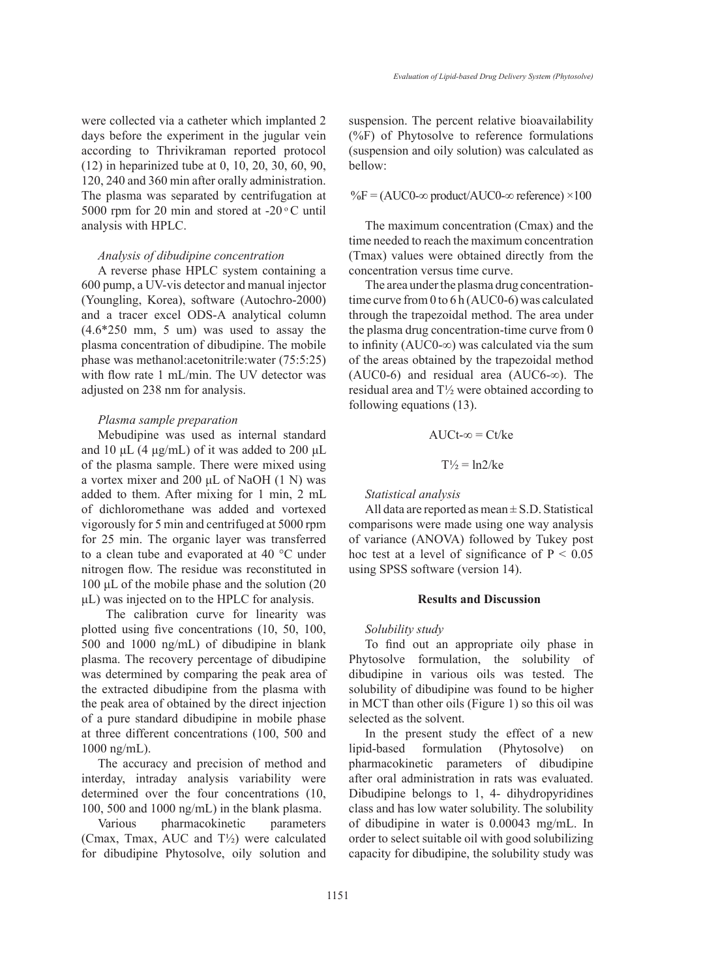were collected via a catheter which implanted 2 days before the experiment in the jugular vein according to Thrivikraman reported protocol (12) in heparinized tube at 0, 10, 20, 30, 60, 90, 120, 240 and 360 min after orally administration. The plasma was separated by centrifugation at 5000 rpm for 20 min and stored at -20 $\,^{\circ}$ C until analysis with HPLC.

#### *Analysis of dibudipine concentration*

A reverse phase HPLC system containing a 600 pump, a UV-vis detector and manual injector (Youngling, Korea), software (Autochro-2000) and a tracer excel ODS-A analytical column (4.6\*250 mm, 5 um) was used to assay the plasma concentration of dibudipine. The mobile phase was methanol:acetonitrile:water (75:5:25) with flow rate 1 mL/min. The UV detector was adjusted on 238 nm for analysis.

## *Plasma sample preparation*

Mebudipine was used as internal standard and 10  $\mu$ L (4  $\mu$ g/mL) of it was added to 200  $\mu$ L of the plasma sample. There were mixed using a vortex mixer and 200 μL of NaOH (1 N) was added to them. After mixing for 1 min, 2 mL of dichloromethane was added and vortexed vigorously for 5 min and centrifuged at 5000 rpm for 25 min. The organic layer was transferred to a clean tube and evaporated at 40 °C under nitrogen flow. The residue was reconstituted in 100 μL of the mobile phase and the solution (20 μL) was injected on to the HPLC for analysis.

 The calibration curve for linearity was plotted using five concentrations (10, 50, 100, 500 and 1000 ng/mL) of dibudipine in blank plasma. The recovery percentage of dibudipine was determined by comparing the peak area of the extracted dibudipine from the plasma with the peak area of obtained by the direct injection of a pure standard dibudipine in mobile phase at three different concentrations (100, 500 and 1000 ng/mL).

The accuracy and precision of method and interday, intraday analysis variability were determined over the four concentrations (10, 100, 500 and 1000 ng/mL) in the blank plasma.

Various pharmacokinetic parameters (Cmax, Tmax, AUC and T½) were calculated for dibudipine Phytosolve, oily solution and suspension. The percent relative bioavailability (%F) of Phytosolve to reference formulations (suspension and oily solution) was calculated as bellow:

 $\%F = (AUCO - \infty \text{ product}/AUC0 - \infty \text{ reference}) \times 100$ 

The maximum concentration (Cmax) and the time needed to reach the maximum concentration (Tmax) values were obtained directly from the concentration versus time curve.

The area under the plasma drug concentrationtime curve from 0 to 6 h (AUC0-6) was calculated through the trapezoidal method. The area under the plasma drug concentration-time curve from 0 to infinity (AUC0-∞) was calculated via the sum of the areas obtained by the trapezoidal method (AUC0-6) and residual area (AUC6-∞). The residual area and T½ were obtained according to following equations (13).

> $AUCt-\infty = Ct/ke$  $T\frac{1}{2} = \ln 2/\text{ke}$

#### *Statistical analysis*

All data are reported as mean  $\pm$  S.D. Statistical comparisons were made using one way analysis of variance (ANOVA) followed by Tukey post hoc test at a level of significance of  $P < 0.05$ using SPSS software (version 14).

### **Results and Discussion**

#### *Solubility study*

To find out an appropriate oily phase in Phytosolve formulation, the solubility of dibudipine in various oils was tested. The solubility of dibudipine was found to be higher in MCT than other oils (Figure 1) so this oil was selected as the solvent.

In the present study the effect of a new lipid-based formulation (Phytosolve) on pharmacokinetic parameters of dibudipine after oral administration in rats was evaluated. Dibudipine belongs to 1, 4- dihydropyridines class and has low water solubility. The solubility of dibudipine in water is 0.00043 mg/mL. In order to select suitable oil with good solubilizing capacity for dibudipine, the solubility study was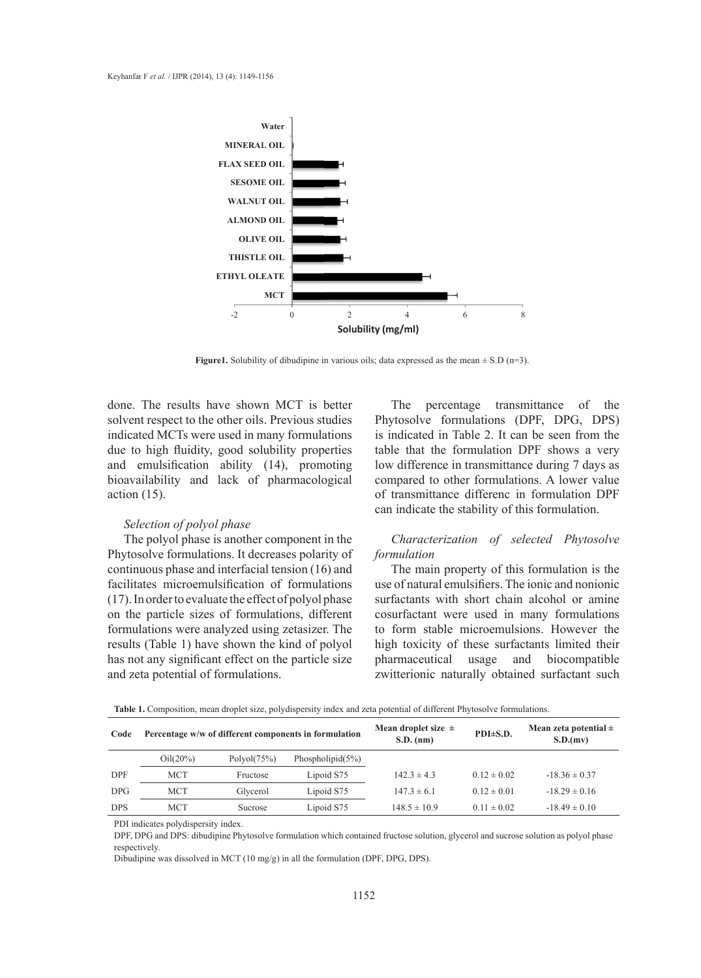

**Figure1.** Solubility of dibudipine in various oils; data expressed as the mean  $\pm$  S.D (n=3).

done. The results have shown MCT is better solvent respect to the other oils. Previous studies indicated MCTs were used in many formulations due to high fluidity, good solubility properties and emulsification ability (14), promoting bioavailability and lack of pharmacological  $action (15)$ .

#### *Selection of polyol phase*

The polyol phase is another component in the Phytosolve formulations. It decreases polarity of continuous phase and interfacial tension (16) and facilitates microemulsification of formulations (17). In order to evaluate the effect of polyol phase on the particle sizes of formulations, different formulations were analyzed using zetasizer. The results (Table 1) have shown the kind of polyol has not any significant effect on the particle size and zeta potential of formulations.

The percentage transmittance of the Phytosolve formulations (DPF, DPG, DPS) is indicated in Table 2. It can be seen from the table that the formulation DPF shows a very low difference in transmittance during 7 days as compared to other formulations. A lower value of transmittance differenc in formulation DPF can indicate the stability of this formulation.

*Characterization of selected Phytosolve formulation*

The main property of this formulation is the use of natural emulsifiers. The ionic and nonionic surfactants with short chain alcohol or amine cosurfactant were used in many formulations to form stable microemulsions. However the high toxicity of these surfactants limited their pharmaceutical usage and biocompatible zwitterionic naturally obtained surfactant such

| Table 1. Composition, mean droplet size, polydispersity index and zeta potential of different Phytosolve formulations. |  |  |
|------------------------------------------------------------------------------------------------------------------------|--|--|
|------------------------------------------------------------------------------------------------------------------------|--|--|

| Code       | Percentage w/w of different components in formulation |                | Mean droplet size $\pm$<br>$S.D.$ (nm) | PDI±S.D.         | Mean zeta potential $\pm$<br>S.D.(mv) |                   |
|------------|-------------------------------------------------------|----------------|----------------------------------------|------------------|---------------------------------------|-------------------|
|            | Oil(20%)                                              | Polyol $(75%)$ | Phospholipid $(5\%)$                   |                  |                                       |                   |
| <b>DPF</b> | <b>MCT</b>                                            | Fructose       | Lipoid S75                             | $142.3 \pm 4.3$  | $0.12 \pm 0.02$                       | $-18.36 \pm 0.37$ |
| DPG        | <b>MCT</b>                                            | Glycerol       | Lipoid S75                             | $147.3 \pm 6.1$  | $0.12 \pm 0.01$                       | $-18.29 \pm 0.16$ |
| <b>DPS</b> | <b>MCT</b>                                            | Sucrose        | Lipoid S75                             | $148.5 \pm 10.9$ | $0.11 \pm 0.02$                       | $-18.49 \pm 0.10$ |

PDI indicates polydispersity index.

DPF, DPG and DPS: dibudipine Phytosolve formulation which contained fructose solution, glycerol and sucrose solution as polyol phase respectively.

Dibudipine was dissolved in MCT (10 mg/g) in all the formulation (DPF, DPG, DPS).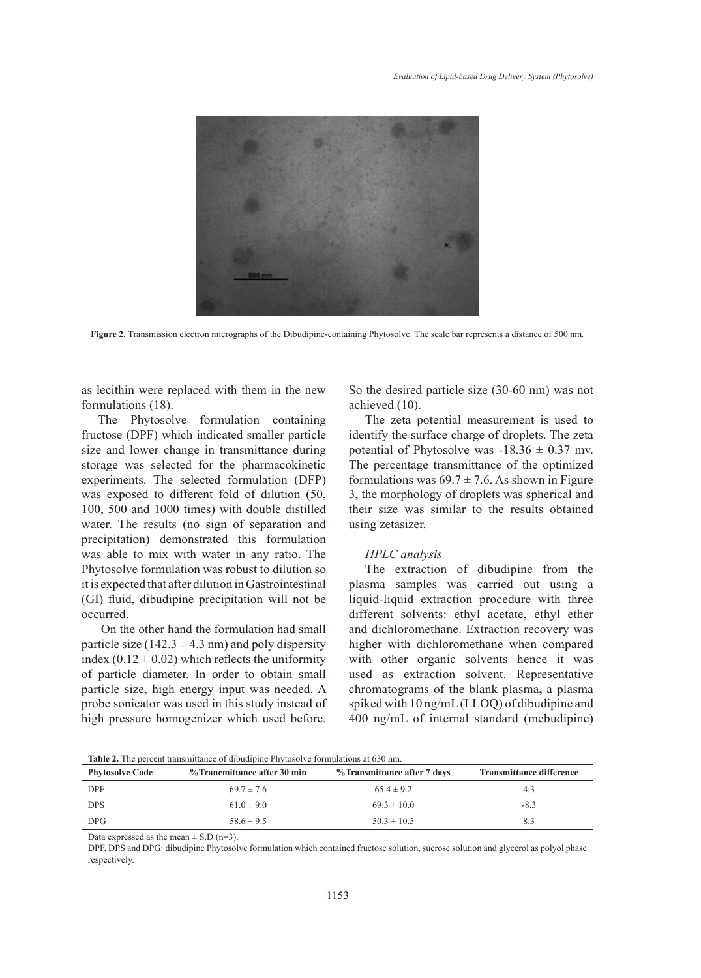

**Figure 2.** Transmission electron micrographs of the Dibudipine-containing Phytosolve. The scale bar represents a distance of 500 nm*.*

as lecithin were replaced with them in the new formulations (18).

The Phytosolve formulation containing fructose (DPF) which indicated smaller particle size and lower change in transmittance during storage was selected for the pharmacokinetic experiments. The selected formulation (DFP) was exposed to different fold of dilution (50, 100, 500 and 1000 times) with double distilled water. The results (no sign of separation and precipitation) demonstrated this formulation was able to mix with water in any ratio. The Phytosolve formulation was robust to dilution so it is expected that after dilution in Gastrointestinal (GI) fluid, dibudipine precipitation will not be occurred.

 On the other hand the formulation had small particle size ( $142.3 \pm 4.3$  nm) and poly dispersity index  $(0.12 \pm 0.02)$  which reflects the uniformity of particle diameter. In order to obtain small particle size, high energy input was needed. A probe sonicator was used in this study instead of high pressure homogenizer which used before. So the desired particle size (30-60 nm) was not achieved (10).

The zeta potential measurement is used to identify the surface charge of droplets. The zeta potential of Phytosolve was  $-18.36 \pm 0.37$  mv. The percentage transmittance of the optimized formulations was  $69.7 \pm 7.6$ . As shown in Figure 3, the morphology of droplets was spherical and their size was similar to the results obtained using zetasizer.

### *HPLC analysis*

The extraction of dibudipine from the plasma samples was carried out using a liquid-liquid extraction procedure with three different solvents: ethyl acetate, ethyl ether and dichloromethane. Extraction recovery was higher with dichloromethane when compared with other organic solvents hence it was used as extraction solvent. Representative chromatograms of the blank plasma**,** a plasma spiked with 10 ng/mL (LLOQ) of dibudipine and 400 ng/mL of internal standard (mebudipine)

**Table 2.** The percent transmittance of dibudipine Phytosolve formulations at 630 nm.

| <b>Phytosolve Code</b> | %Trancmittance after 30 min | %Transmittance after 7 days | <b>Transmittance difference</b> |
|------------------------|-----------------------------|-----------------------------|---------------------------------|
| <b>DPF</b>             | $69.7 \pm 7.6$              | $65.4 \pm 9.2$              | 4.3                             |
| <b>DPS</b>             | $61.0 \pm 9.0$              | $69.3 \pm 10.0$             | $-8.3$                          |
| DPG                    | $58.6 \pm 9.5$              | $50.3 \pm 10.5$             | 83                              |

Data expressed as the mean  $\pm$  S.D (n=3).

DPF, DPS and DPG: dibudipine Phytosolve formulation which contained fructose solution, sucrose solution and glycerol as polyol phase respectively.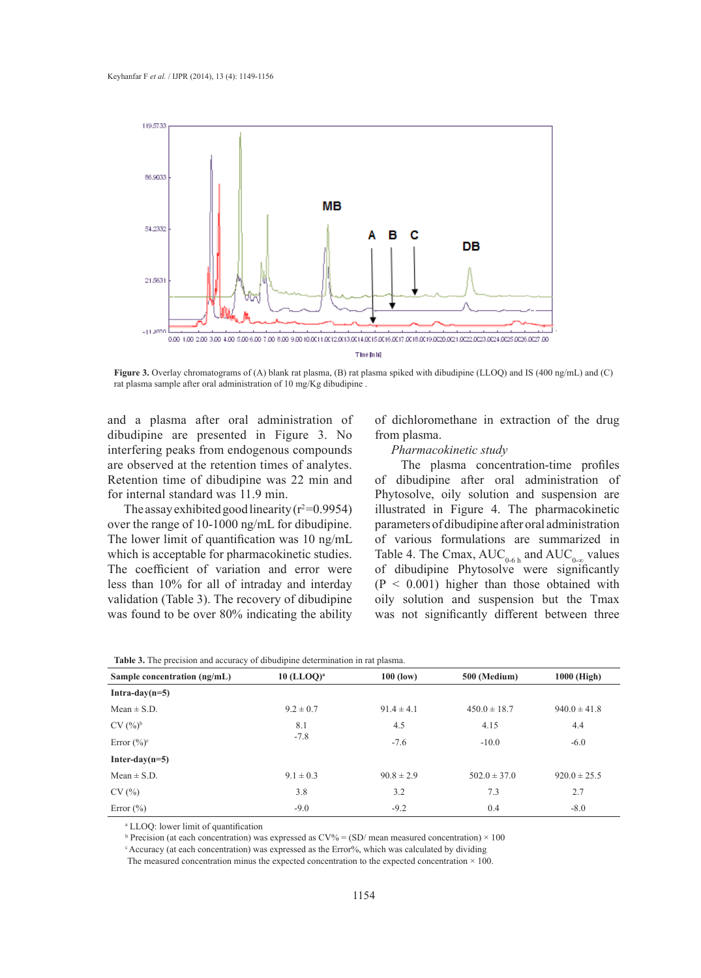

**Figure 3.** Overlay chromatograms of (A) blank rat plasma, (B) rat plasma spiked with dibudipine (LLOQ) and IS (400 ng/mL) and (C) rat plasma sample after oral administration of 10 mg/Kg dibudipine .

and a plasma after oral administration of dibudipine are presented in Figure 3. No interfering peaks from endogenous compounds are observed at the retention times of analytes. Retention time of dibudipine was 22 min and for internal standard was 11.9 min.

The assay exhibited good linearity  $(r^2=0.9954)$ over the range of 10-1000 ng/mL for dibudipine. The lower limit of quantification was 10 ng/mL which is acceptable for pharmacokinetic studies. The coefficient of variation and error were less than 10% for all of intraday and interday validation (Table 3). The recovery of dibudipine was found to be over 80% indicating the ability of dichloromethane in extraction of the drug from plasma.

## *Pharmacokinetic study*

 The plasma concentration-time profiles of dibudipine after oral administration of Phytosolve, oily solution and suspension are illustrated in Figure 4. The pharmacokinetic parameters of dibudipine after oral administration of various formulations are summarized in Table 4. The Cmax,  $AUC_{0.6 h}$  and  $AUC_{0.∞}$  values of dibudipine Phytosolve were significantly (P < 0.001) higher than those obtained with oily solution and suspension but the Tmax was not significantly different between three

| <b>Table 3.</b> The precision and accuracy of dibudipine determination in rat plasma. |  |  |
|---------------------------------------------------------------------------------------|--|--|
|---------------------------------------------------------------------------------------|--|--|

| Sample concentration (ng/mL) | $10$ (LLOQ) <sup>a</sup> | $100$ (low)    | 500 (Medium)     | $1000$ (High)    |
|------------------------------|--------------------------|----------------|------------------|------------------|
| Intra-day( $n=5$ )           |                          |                |                  |                  |
| Mean $\pm$ S.D.              | $9.2 \pm 0.7$            | $91.4 \pm 4.1$ | $450.0 \pm 18.7$ | $940.0 \pm 41.8$ |
| $CV(%)^b$                    | 8.1                      | 4.5            | 4.15             | 4.4              |
| Error $(\%)^c$               | $-7.8$                   | $-7.6$         | $-10.0$          | $-6.0$           |
| Inter-day( $n=5$ )           |                          |                |                  |                  |
| $Mean \pm S.D.$              | $9.1 \pm 0.3$            | $90.8 \pm 2.9$ | $502.0 \pm 37.0$ | $920.0 \pm 25.5$ |
| CV(%)                        | 3.8                      | 3.2            | 7.3              | 2.7              |
| Error $(\% )$                | $-9.0$                   | $-9.2$         | 0.4              | $-8.0$           |

a LLOQ: lower limit of quantification

<sup>b</sup> Precision (at each concentration) was expressed as  $CV\% = (SD/m$ ean measured concentration) × 100

c Accuracy (at each concentration) was expressed as the Error%, which was calculated by dividing

The measured concentration minus the expected concentration to the expected concentration  $\times$  100.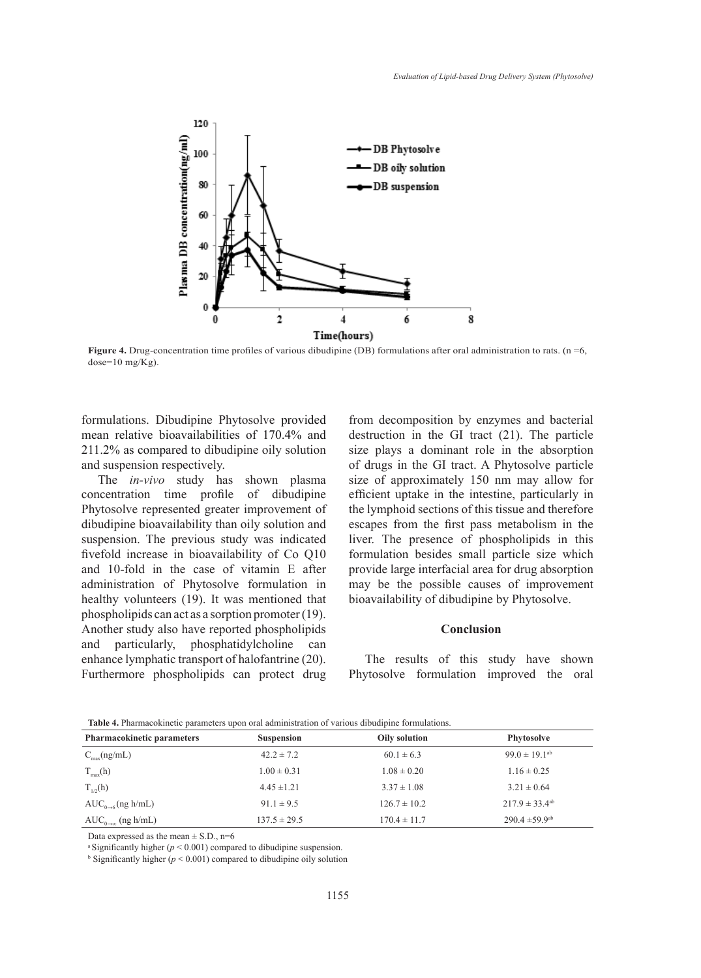

**Figure 4.** Drug-concentration time profiles of various dibudipine (DB) formulations after oral administration to rats. (n =6, dose=10 mg/Kg).

formulations. Dibudipine Phytosolve provided mean relative bioavailabilities of 170.4% and 211.2% as compared to dibudipine oily solution and suspension respectively.

The *in-vivo* study has shown plasma concentration time profile of dibudipine Phytosolve represented greater improvement of dibudipine bioavailability than oily solution and suspension. The previous study was indicated fivefold increase in bioavailability of Co Q10 and 10-fold in the case of vitamin E after administration of Phytosolve formulation in healthy volunteers (19). It was mentioned that phospholipids can act as a sorption promoter (19). Another study also have reported phospholipids<br>and particularly, phosphatidylcholine can and particularly, phosphatidylcholine can enhance lymphatic transport of halofantrine (20). Furthermore phospholipids can protect drug from decomposition by enzymes and bacterial destruction in the GI tract (21). The particle size plays a dominant role in the absorption of drugs in the GI tract. A Phytosolve particle size of approximately 150 nm may allow for efficient uptake in the intestine, particularly in the lymphoid sections of this tissue and therefore escapes from the first pass metabolism in the liver. The presence of phospholipids in this formulation besides small particle size which provide large interfacial area for drug absorption may be the possible causes of improvement bioavailability of dibudipine by Phytosolve.

#### **Conclusion**

The results of this study have shown Phytosolve formulation improved the oral

| <b>Pharmacokinetic parameters</b>    | <b>Suspension</b> | Oily solution    | <b>Phytosolve</b>              |
|--------------------------------------|-------------------|------------------|--------------------------------|
| $C_{\text{max}}(ng/mL)$              | $42.2 \pm 7.2$    | $60.1 \pm 6.3$   | $99.0 \pm 19.1$ <sup>ab</sup>  |
| $T_{max}(h)$                         | $1.00 \pm 0.31$   | $1.08 \pm 0.20$  | $1.16 \pm 0.25$                |
| $T_{1/2}(h)$                         | $4.45 \pm 1.21$   | $3.37 \pm 1.08$  | $3.21 \pm 0.64$                |
| $AUC_{0\rightarrow 6}$ (ng h/mL)     | $91.1 \pm 9.5$    | $126.7 \pm 10.2$ | $217.9 \pm 33.4^{ab}$          |
| $AUC_{0\rightarrow\infty}$ (ng h/mL) | $137.5 \pm 29.5$  | $170.4 \pm 11.7$ | $290.4 \pm 59.9$ <sup>ab</sup> |

**Table 4.** Pharmacokinetic parameters upon oral administration of various dibudipine formulations.

Data expressed as the mean  $\pm$  S.D., n=6

<sup>a</sup> Significantly higher ( $p < 0.001$ ) compared to dibudipine suspension.

 $\delta$  Significantly higher ( $p$  < 0.001) compared to dibudipine oily solution